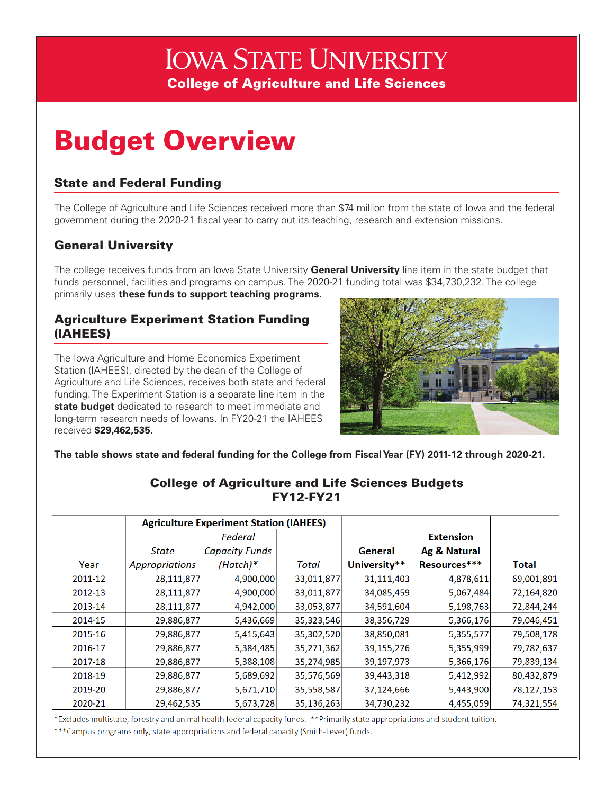# **IOWA STATE UNIVERSITY College of Agriculture and Life Sciences**

# Budget Overview

#### State and Federal Funding

The College of Agriculture and Life Sciences received more than \$74 million from the state of Iowa and the federal government during the 2020-21 fiscal year to carry out its teaching, research and extension missions.

### General University

The college receives funds from an Iowa State University **General University** line item in the state budget that funds personnel, facilities and programs on campus. The 2020-21 funding total was \$34,730,232. The college primarily uses **these funds to support teaching programs.**

#### Agriculture Experiment Station Funding (IAHEES)

The Iowa Agriculture and Home Economics Experiment Station (IAHEES), directed by the dean of the College of Agriculture and Life Sciences, receives both state and federal funding. The Experiment Station is a separate line item in the **state budget** dedicated to research to meet immediate and long-term research needs of Iowans. In FY20-21 the IAHEES received **\$29,462,535.**



**The table shows state and federal funding for the College from Fiscal Year (FY) 2011-12 through 2020-21.** 

|         | <b>Agriculture Experiment Station (IAHEES)</b> |                       |            |              |                  |              |
|---------|------------------------------------------------|-----------------------|------------|--------------|------------------|--------------|
|         |                                                | Federal               |            |              | <b>Extension</b> |              |
|         | State                                          | <b>Capacity Funds</b> |            | General      | Ag & Natural     |              |
| Year    | Appropriations                                 | $(Hatch)*$            | Total      | University** | Resources***     | <b>Total</b> |
| 2011-12 | 28,111,877                                     | 4,900,000             | 33,011,877 | 31,111,403   | 4,878,611        | 69,001,891   |
| 2012-13 | 28,111,877                                     | 4,900,000             | 33,011,877 | 34,085,459   | 5,067,484        | 72,164,820   |
| 2013-14 | 28,111,877                                     | 4,942,000             | 33,053,877 | 34,591,604   | 5,198,763        | 72,844,244   |
| 2014-15 | 29,886,877                                     | 5,436,669             | 35,323,546 | 38,356,729   | 5,366,176        | 79,046,451   |
| 2015-16 | 29,886,877                                     | 5,415,643             | 35,302,520 | 38,850,081   | 5,355,577        | 79,508,178   |
| 2016-17 | 29,886,877                                     | 5,384,485             | 35,271,362 | 39,155,276   | 5,355,999        | 79,782,637   |
| 2017-18 | 29,886,877                                     | 5,388,108             | 35,274,985 | 39,197,973   | 5,366,176        | 79,839,134   |
| 2018-19 | 29,886,877                                     | 5,689,692             | 35,576,569 | 39,443,318   | 5,412,992        | 80,432,879   |
| 2019-20 | 29,886,877                                     | 5,671,710             | 35,558,587 | 37,124,666   | 5,443,900        | 78,127,153   |
| 2020-21 | 29,462,535                                     | 5,673,728             | 35,136,263 | 34,730,232   | 4,455,059        | 74,321,554   |

#### College of Agriculture and Life Sciences Budgets FY12-FY21

\*Excludes multistate, forestry and animal health federal capacity funds. \*\*Primarily state appropriations and student tuition.

\*\*\* Campus programs only, state appropriations and federal capacity (Smith-Lever) funds.